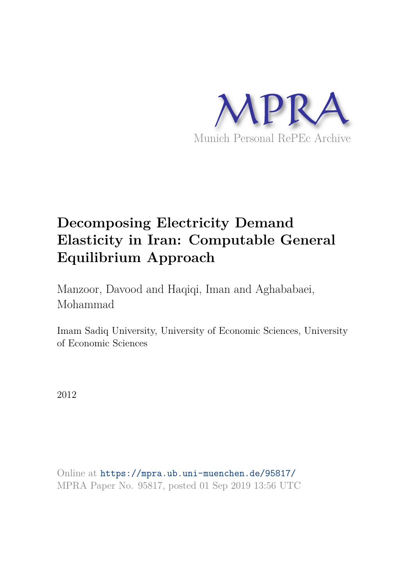

# **Decomposing Electricity Demand Elasticity in Iran: Computable General Equilibrium Approach**

Manzoor, Davood and Haqiqi, Iman and Aghababaei, Mohammad

Imam Sadiq University, University of Economic Sciences, University of Economic Sciences

2012

Online at https://mpra.ub.uni-muenchen.de/95817/ MPRA Paper No. 95817, posted 01 Sep 2019 13:56 UTC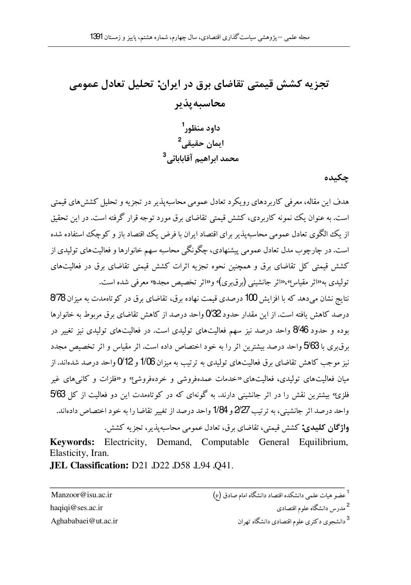# تجزیه کشش قیمتی تقاضای برق در ایران: تحلیل تعادل عمومی محاسىه ىذىر داود منظور<sup>1</sup> ايمان حقيقي<sup>2</sup> محمد ابراهیم آقابابائے <sup>3</sup>

چکىدە

هدف این مقاله، معرفی کاربر دهای رویکرد تعادل عمومی محاسبه پذیر در تجزیه و تحلیل کشش های قیمتی است. به عنوان یک نمونه کاربردی، کشش قیمتی تقاضای برق مورد توجه قرار گرفته است. در این تحقیق از یک الگه ی تعادل عمومی محاسبه پذیر برای اقتصاد ایران با فرض یک اقتصاد باز و کوچک استفاده شده است. در چارچوب مدل تعادل عمومی پیشنهادی، چگونگی محاسبه سهم خانوارها و فعالیتهای تولیدی از کشش قیمتی کل تقاضای برق و همچنین نحوه تجزیه اثرات کشش قیمتی تقاضای برق در فعالیتهای تولیدی به<sup>ر</sup>اثر مقیاس»،«اثر جانشینی (برق بری)<sup>،</sup> و<sup>ر</sup>اثر تخصیص مجد» معرفی شده است.

نتایج نشان میدهد که با افزایش 100 درصدی قیمت نهاده برق، تقاضای برق در کو تاهمدت به میزان 878 درصد کاهش یافته است. از این مقدار حدود $732$  واحد درصد از کاهش تقاضای برق مربوط به خانوارها بوده و حدود 8⁄46 واحد درصد نیز سهم فعالیتهای تولیدی است. در فعالیتهای تولیدی نیز تغییر در برق بری با 5/63 واحد درصد بیشترین اثر را به خود اختصاص داده است. اثر مقیاس و اثر تخصیص مجدد نیز موجب کاهش تقاضای برق فعالیتهای تولیدی به ترتیب به میزان 1/06 و 12% واحد درصد شدهاند. از میان فعالیتهای تولیدی، فعالیتهای «خدمات عمدهفروشی و خردهفروشهِ» و «فلزات و کانی های غیر فلزی؛ بیشترین نقش را در اثر جانشینی دارند. به گونهای که در کوتاهمدت این دو فعالیت از کل 5⁄63 واحد درصد اثر جانشینی، به تر تیب 2/27 و 1/84 واحد درصد از تغییر تقاضا را به خود اختصاص دادهاند. و**اژگان کلیدی:** کشش قیمتی، تقاضای برق، تعادل عمومی محاسبه پذیر، تجزیه کشش.

Kevwords: Electricity, Demand, Computable General Equilibrium, Elasticity, Iran.

JEL Classification: D21 .D22 .D58 .L94 .O41.

Manzoor@isu.ac.ir haqiqi@ses.ac.ir Aghababaei@ut.ac.ir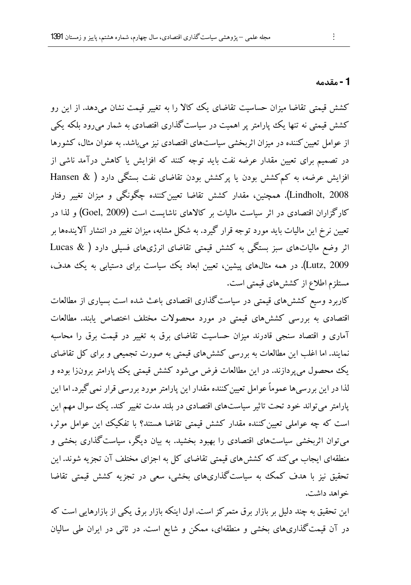#### 1 - مقدمه

کشش قیمتی تقاضا میزان حساسیت تقاضای یک کالا را به تغییر قیمت نشان می(دهد. از این رو کشش قیمتی نه تنها یک پارامتر پر اهمیت در سیاست گذاری اقتصادی به شمار می رود بلکه یکی از عوامل تعیین کننده در میزان اثربخشی سیاستهای اقتصادی نیز می باشد. به عنوان مثال، کشورها در تصمیم برای تعیین مقدار عرضه نفت باید توجه کنند که افزایش یا کاهش درآمد ناشی از افزایش عرضه، به کمکشش بودن یا پرکشش بودن تقاضای نفت بستگی دارد ( & Hansen Lindholt, 2008). همچنین، مقدار کشش تقاضا تعیین کننده چگونگی و میزان تغییر رفتار کارگزاران اقتصادی در اثر سیاست مالیات بر کالاهای ناشایست است (Goel, 2009) و لذا در تعیین نرخ این مالیات باید مورد توجه قرار گیرد. به شکل مشابه، میزان تغییر در انتشار آلایندهها بر اثر وضع مالیاتهای سبز بستگی به کشش قیمتی تقاضای انرژیهای فسیلی دارد ( Lucas & Lutz, 2009). در همه مثالهای پیشین، تعیین ابعاد یک سیاست برای دستیابی به یک هدف، مستلزم اطلاع از کشش های قیمتی است.

کاربرد وسیع کششهای قیمتی در سیاست گذاری اقتصادی باعث شده است بسیاری از مطالعات اقتصادی به بررسی کشش های قیمتی در مورد محصولات مختلف اختصاص یابند. مطالعات آماری و اقتصاد سنجی قادرند میزان حساسیت تقاضای برق به تغییر در قیمت برق را محاسبه نمایند. اما اغلب این مطالعات به بررسی کشش۵های قیمتی به صورت تجمیعی و برای کل تقاضای یک محصول می پردازند. در این مطالعات فرض میشود کشش قیمتی یک پارامتر برونزا بوده و لذا در این بر رسیها عموماً عوامل تعیین کننده مقدار این پارامتر مورد بررسی قرار نمی گیرد. اما این یارامتر می تواند خود تحت تاثیر سیاستهای اقتصادی در بلند مدت تغییر کند. یک سوال مهم این است که چه عواملی تعیین کننده مقدار کشش قیمتی تقاضا هستند؟ با تفکیک این عوامل موثر، می توان اثربخشی سیاستهای اقتصادی را بهبود بخشید. به بیان دیگر، سیاست گذاری بخشی و منطقهای ایجاب می کند که کشش های قیمتی تقاضای کل به اجزای مختلف آن تجزیه شوند. این تحقیق نیز با هدف کمک به سیاستگذاریهای بخشی، سعی در تجزیه کشش قیمتی تقاضا خواهد داشت.

این تحقیق به چند دلیل بر بازار برق متمرکز است. اول اینکه بازار برق یکی از بازارهایی است که در آن قیمت گذاریهای بخشی و منطقهای، ممکن و شایع است. در ثانی در ایران طی سالیان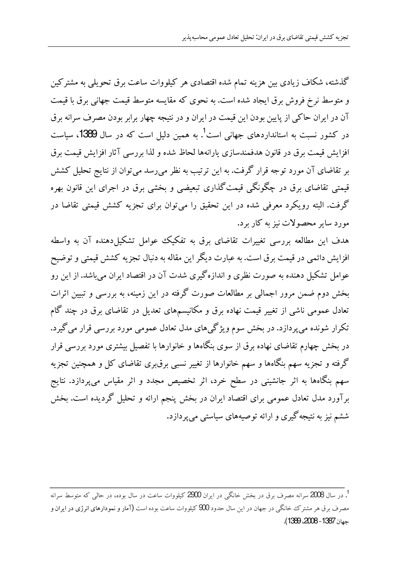گذشته، شکاف زیادی بین هزینه تمام شده اقتصادی هر کیلووات ساعت برق تحویلی به مشترکین و متوسط نرخ فروش برق ایجاد شده است. به نحوی که مقایسه متوسط قیمت جهانبی برق با قیمت آن در ایران حاکی از پایین بودن این قیمت در ایران و در نتیجه چهار برابر بودن مصرف سرانه برق در کشور نسبت به استانداردهای جهانی است<sup>1</sup>. به همین دلیل است که در سال **1389**، سیاست افزایش قیمت برق در قانون هدفمندسازی پارانهها لحاظ شده و لذا بررسی آثار افزایش قیمت برق بر تقاضای آن مورد توجه قرار گرفت. به این ترتیب به نظر میرسد میتوان از نتایج تحلیل کشش قیمتی تقاضای برق در چگونگی قیمت گذاری تبعیضی و بخشی برق در اجرای این قانون بهره گرفت. البته رویکرد معرفی شده در این تحقیق را میتوان برای تجزیه کشش قیمتی تقاضا در مورد سایر محصولات نیز به کار برد.

هدف این مطالعه بررسی تغییرات تقاضای برق به تفکیک عوامل تشکیل دهنده آن به واسطه افزايش دائمي در قيمت برق است. به عبارت ديگر اين مقاله به دنبال تجزيه كشش قيمتي و توضيح عوامل تشکیل دهنده به صورت نظری و اندازهگیری شدت آن در اقتصاد ایران میباشد. از این رو بخش دوم ضمن مرور اجمالی بر مطالعات صورت گرفته در این زمینه، به بررسی و تبیین اثرات تعادل عمومی ناشی از تغییر قیمت نهاده برق و مکانیسمهای تعدیل در تقاضای برق در چند گام تکرار شونده مي پردازد. در بخش سوم ويژگي هاي مدل تعادل عمومي مورد بررسي قرار مي گيرد. در بخش چهارم تقاضای نهاده برق از سوی بنگاهها و خانوارها با تفصیل بیشتری مورد بررسی قرار گرفته و تجزیه سهم بنگاهها و سهم خانوارها از تغییر نسبی برقبری تقاضای کل و همچنین تجزیه سهم بنگاهها به اثر جانشینی در سطح خرد، اثر تخصیص مجدد و اثر مقیاس میپردازد. نتایج برآورد مدل تعادل عمومی برای اقتصاد ایران در بخش پنجم ارائه و تحلیل گردیده است. بخش ششم نیز به نتیجه گیری و ارائه توصیههای سیاستی می پردازد.

<sup>.&</sup>lt;br>1. در سال 2008 سرانه مصرف برق در بخش خانگی در ایران 2900 کیلووات ساعت در سال بوده، در حال<sub>ی</sub> که متوسط سرانه مصرف برق هر مشترک خانگی در جهان در این سال حدود 900 کیلووات ساعت بوده است (آمار و نمودارهای انرژی در ایران و جهان 1387 - 2008، 1389).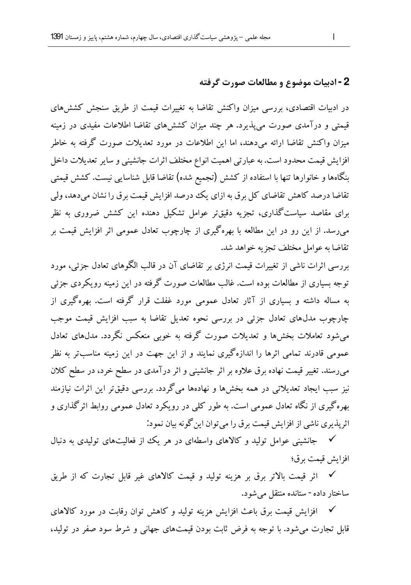#### 2 - ادبيات موضوع و مطالعات صورت گرفته

در ادبیات اقتصادی، بررسی میزان واکنش تقاضا به تغییرات قیمت از طریق سنجش کشش های قیمتی و درآمدی صورت می پذیرد. هر چند میزان کشش های تقاضا اطلاعات مفیدی در زمینه میزان واکنش تقاضا ارائه می،دهند، اما این اطلاعات در مورد تعدیلات صورت گرفته به خاطر افزایش قیمت محدود است. به عبارتی اهمیت انواع مختلف اثرات جانشینی و سایر تعدیلات داخل بنگاهها و خانوارها تنها با استفاده از کشش (تجمیع شده) تقاضا قابل شناسایی نیست. کشش قیمتی تقاضا درصد کاهش تقاضای کل برق به ازای یک درصد افزایش قیمت برق را نشان میدهد، ولی برای مقاصد سیاست گذاری، تجزیه دقیقتر عوامل تشکیل دهنده این کشش ضروری به نظر می,رسد. از این رو در این مطالعه با بهرهگیری از چارچوب تعادل عمومی اثر افزایش قیمت بر تقاضاً به عوامل مختلف تجزيه خواهد شد.

بررسی اثرات ناشی از تغییرات قیمت انرژی بر تقاضای آن در قالب الگوهای تعادل جزئی، مورد توجه بسیاری از مطالعات بوده است. غالب مطالعات صورت گرفته در این زمینه رویکردی جزئی به مساله داشته و بسیاری از آثار تعادل عمومی مورد غفلت قرار گرفته است. بهرهگیری از چارچوب مدلهای تعادل جزئی در بررسی نحوه تعدیل تقاضا به سبب افزایش قیمت موجب میشود تعاملات بخشها و تعدیلات صورت گرفته به خوبی منعکس نگردد. مدلهای تعادل عمومی قادرند تمامی اثرها را اندازهگیری نمایند و از این جهت در این زمینه مناسبتر به نظر میرسند. تغییر قیمت نهاده برق علاوه بر اثر جانشینی و اثر درآمدی در سطح خرد، در سطح کلان نیز سبب ایجاد تعدیلاتی در همه بخشها و نهادهها میگردد. بررسی دقیقتر این اثرات نیازمند بهره گیری از نگاه تعادل عمومی است. به طور کلبی در رویکرد تعادل عمومی روابط اثر گذاری و اثريذيري ناشي از افزايش قيمت برق را مي توان اين گونه بيان نمود:

∕ جانشینی عوامل تولید و کالاهای واسطهای در هر یک از فعالیتهای تولیدی به دنبال افزايش قيمت برق؛

✔ اثر قیمت بالاتر برق بر هزینه تولید و قیمت کالاهای غیر قابل تجارت که از طریق ساختار داده - ستانده منتقل می شود.

∕ افزایش قیمت برق باعث افزایش هزینه تولید و کاهش توان رقابت در مورد کالاهای قابل تجارت می شود. با توجه به فرض ثابت بودن قیمتهای جهانی و شرط سود صفر در تولید،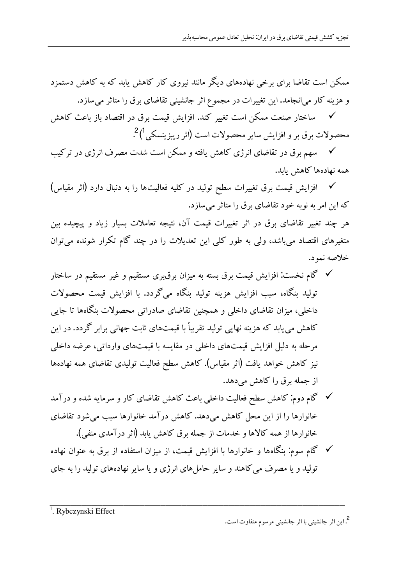ممکن است تقاضا برای برخی نهادههای دیگر مانند نیروی کار کاهش باید که به کاهش دستمزد و هزینه کار میانجامد. این تغییرات در مجموع اثر جانشینی تقاضای برق را متاثر میسازد.

ساختار صنعت ممكن است تغيير كند. افزايش قيمت برق در اقتصاد باز باعث كاهش  $\checkmark$ محصولات برق بر و افزايش ساير محصولات است (اثر ريبزينسكي<sup>1</sup>)<sup>2</sup>.

∕ سهم برق در تقاضای انرژی کاهش یافته و ممکن است شدت مصرف انرژی در ترکیب همه نهادهها كاهش يابد.

افزایش قیمت برق تغییرات سطح تولید در کلیه فعالیتها را به دنبال دارد (اثر مقیاس)  $\checkmark$ که این امر به نوبه خود تقاضای برق را متاثر می سازد.

هر چند تغییر تقاضای برق در اثر تغییرات قیمت آن، نتیجه تعاملات بسیار زیاد و پیچیده بین متغیرهای اقتصاد می باشد، ولی به طور کلی این تعدیلات را در چند گام تکرار شونده می توان خلاصه نمود.

- ∕ گام نخست: افزایش قیمت برق بسته به میزان برق بری مستقیم و غیر مستقیم در ساختار تولید پنگاه، سب افزایش هزینه تولید پنگاه می گردد. با افزایش قیمت محصولات داخلی، میزان تقاضای داخلی و همچنین تقاضای صادراتی محصولات بنگاهها تا جایی کاهش می بابد که هزینه نهایی تولید تقریباً با قیمتهای ثابت جهانی برابر گردد. در این مرحله به دلیل افزایش قیمتهای داخلی در مقایسه با قیمتهای وارداتی، عرضه داخلی نیز کاهش خواهد یافت (اثر مقیاس). کاهش سطح فعالیت تولیدی تقاضای همه نهادهها از جمله برق را کاهش میدهد.
- ∕ گام دوم: کاهش سطح فعالیت داخلی باعث کاهش تقاضای کار و سرمایه شده و درآمد خانوارها را از این محل کاهش میدهد. کاهش درآمد خانوارها سبب می شود تقاضای خانوارها از همه كالاها و خدمات از جمله برق كاهش يابد (اثر درآمدي منفي).
- √ گام سوم: بنگاهها و خانوارها با افزایش قیمت، از میزان استفاده از برق به عنوان نهاده تولید و یا مصرف می کاهند و سایر حامل های انرژی و یا سایر نهادههای تولید را به جای

<sup>1</sup>. Rybczynski Effect

<sup>2</sup>. این اثر جانشینی با اثر جانشینی مرسوم متفاوت است.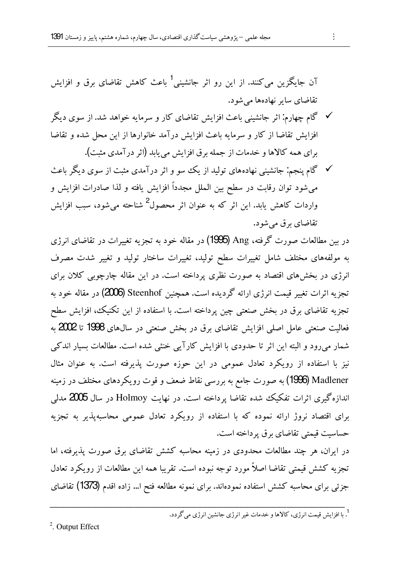آن جایگزین میکنند. از این رو اثر جانشینی<sup>1</sup> باعث کاهش تقاضای برق و افزایش تقاضای سایر نهادهها می شود.

- ∕ گام چهارم. اثر جانشینی باعث افزایش تقاضای کار و سرمایه خواهد شد. از سوی دیگر افزایش تقاضا از کار و سرمایه باعث افزایش درآمد خانوارها از این محل شده و تقاضا براي همه كالاها و خدمات از جمله برق افزايش مي يابد (اثر درآمدي مثبت).
- ∕ گام پنجم: جانشینی نهادههای تولید از یک سو و اثر درآمدی مثبت از سوی دیگر باعث می شود توان رقابت در سطح بین الملل مجدداً افزایش یافته و لذا صادرات افزایش و واردات کاهش یابد. این اثر که به عنوان اثر محصول<sup>2</sup> شناحته می شود، سبب افزایش تقاضای برق می شو د.

در سن مطالعات صورت گرفته، Ang (1995) در مقاله خود به تجزیه تغییرات در تقاضای انرژی به مولفههای مختلف شامل تغییرات سطح تولید، تغییرات ساختار تولید و تغییر شدت مصرف انرژی در بخش های اقتصاد به صورت نظری پرداخته است. در این مقاله چارچوبی کلان برای تجزیه اثرات تغییر قیمت انرژی ارائه گردیده است. همچنین Steenhof (2006) در مقاله خود به تجزیه تقاضای برق در بخش صنعتی چین یرداخته است. با استفاده از این تکنیک، افزایش سطح فعالیت صنعتی عامل اصلی افزایش تقاضای برق در بخش صنعتی در سال&ی 1998 تا 2002 به شمار میرود و البته این اثر تا حدودی با افزایش کارآیی خنثی شده است. مطالعات بسیار اندکی نیز با استفاده از رویکرد تعادل عمومی در این حوزه صورت پذیرفته است. به عنوان مثال Madlener (1996) به صورت جامع به بررسی نقاط ضعف و قوت رویکردهای مختلف در زمینه اندازهگیری اثرات تفکیک شده تقاضا برداخته است. در نهایت Holmoy در سال **2005** مدل<sub>ی</sub> برای اقتصاد نروژ ارائه نموده که با استفاده از رویکرد تعادل عمومی محاسبهپذیر به تجزیه حساسیت قیمتی تقاضای برق پرداخته است.

در ایران، هر چند مطالعات محدودی در زمینه محاسبه کشش تقاضای برق صورت پذیرفته، اما تجزیه کشش قیمتی تقاضا اصلاً مورد توجه نبوده است. تقریبا همه این مطالعات از رویکرد تعادل جزئی برای محاسبه کشش استفاده نمودهاند. برای نمونه مطالعه فتح ا… زاده اقدم (1373) تقاضای

<sup>&</sup>lt;sup>2</sup>. Output Effect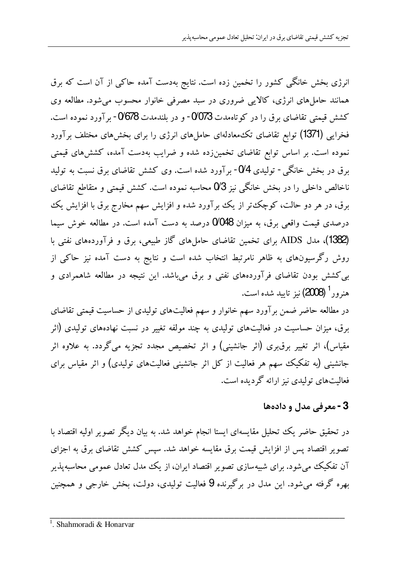انرژی بخش خانگی کشور را تخمین زده است. نتایج بهدست آمده حاکی از آن است که برق همانند حاملهای انرژی، کالایی ضروری در سبد مصرفی خانوار محسوب میشود. مطالعه وی کشش قیمتی تقاضای برق را در کوتاهمدت 0⁄073- و در بلندمدت 0⁄678- بر آورد نموده است. فخرایی (1371) توابع تقاضای تک۵معادلهای حاملهای انرژی را برای بخشهای مختلف برآورد نموده است. بر اساس توابع تقاضای تخمینزده شده و ضرایب بهدست آمده، کشش۵های قیمتی ىرق در ىخش خانگى - توليدى 0⁄4- يرآورد شده است. وى كشش تقاضاى برق نسىت به توليد ناخالص داخلی را در بخش خانگی نیز 3⁄3 محاسبه نموده است. کشش قیمتی و متقاطع تقاضای برق، در هر دو حالت، کوچک تر از یک برآورد شده و افزایش سهم مخارج برق با افزایش یک درصدی قیمت واقعی برق، به میزان 0⁄048 درصد به دست آمده است. در مطالعه خوش سیما (1382)، مدل AIDS برای تخمین تقاضای حاملهای گاز طبیعی، برق و فرآوردههای نفتی با روش رگرسیونهای به ظاهر نامرتبط انتخاب شده است و نتایج به دست آمده نیز حاکی از بی کشش بودن تقاضای فرآوردههای نفتی و برق میباشد. این نتیجه در مطالعه شاهمرادی و هنرور<sup>1</sup> (2008) نیز تابید شده است.

در مطالعه حاضر ضمن برآورد سهم خانوار و سهم فعالیتهای تولیدی از حساسیت قیمتی تقاضای برق، میزان حساسیت در فعالیتهای تولیدی به چند مولفه تغییر در نسبت نهادههای تولیدی (اثر مقیاس)، اثر تغییر برق،ری (اثر جانشینی) و اثر تخصیص مجدد تجزیه میگردد. به علاوه اثر جانشینی (به تفکیک سهم هر فعالیت از کل اثر جانشینی فعالیتهای تولیدی) و اثر مقیاس برای فعالیتهای تولیدی نیز ارائه گردیده است.

# 3 - معرفے, مدل و دادہھا

در تحقیق حاضر یک تحلیل مقایسهای ایستا انجام خواهد شد. به بیان دیگر تصویر اولیه اقتصاد با تصویر اقتصاد پس از افزایش قیمت برق مقایسه خواهد شد. سپس کشش تقاضای برق به اجزای آن تفکیک می شود. برای شبیهسازی تصویر اقتصاد ایران، از یک مدل تعادل عمومی محاسبهپذیر ىھرە گرفته مى شود. اين مدل در برگيرندە 9 فعاليت توليدى، دولت، بخش خارجى و همچنين

<sup>&</sup>lt;sup>1</sup>. Shahmoradi & Honarvar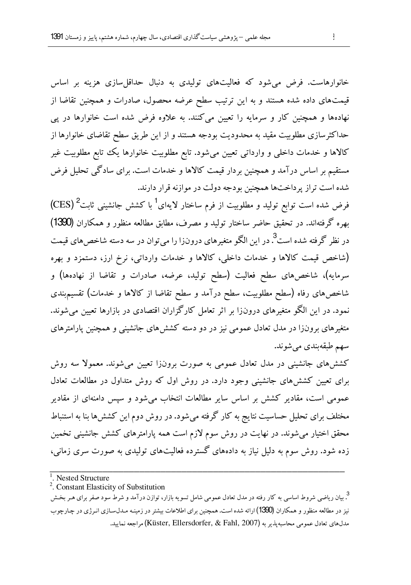.<br>خانوارهاست. فرض می شود که فعالیتهای تولیدی به دنبال حداقل سازی هزینه بر اساس قیمتهای داده شده هستند و به این ترتیب سطح عرضه محصول، صادرات و همچنین تقاضا از نهادهها و همچنین کار و سرمایه را تعیین میکنند. به علاوه فرض شده است خانوارها در یبی حداکثرسازی مطلوبیت مقید به محدودیت بودجه هستند و از این طریق سطح تقاضای خانوارها از کالاها و خدمات داخلی و وارداتی تعیین میشود. تابع مطلوبیت خانوارها یک تابع مطلوبیت غیر مستقیم بر اساس درآمد و همچنین بردار قیمت کالاها و خدمات است. برای سادگی تحلیل فرض شده است تراز يرداختها همچنين بودجه دولت در موازنه قرار دارند.

فرض شده است توابع تولید و مطلوبیت از فرم ساختار لایهای<sup>1</sup> با کشش جانشینی ثابت<sup>2</sup> (CES) بهره گرفتهاند. در تحقیق حاضر ساختار تولید و مصرف، مطابق مطالعه منظور و همکاران (1390) در نظر گرفته شده است<sup>3</sup> در این الگو متغیرهای درونزا را می توان در سه دسته شاخص های قیمت (شاخص قیمت کالاها و خدمات داخلی، کالاها و خدمات وارداتی، نرخ ارز، دستمزد و بهره سرمایه)، شاخصهای سطح فعالیت (سطح تولید، عرضه، صادرات و تقاضا از نهادهها) و شاخصهای رفاه (سطح مطلوبیت، سطح درآمد و سطح تقاضا از کالاها و خدمات) تقسیمهندی نمود. در این الگو متغیرهای درونiرا بر اثر تعامل کارگزاران اقتصادی در بازارها تعیین می شوند. متغیرهای برونزا در مدل تعادل عمومی نیز در دو دسته کشش های جانشینی و همچنین پارامترهای سهم طبقهبندي مي شوند.

کشش های جانشینی در مدل تعادل عمومی به صورت برونزا تعیین می شوند. معمولاً سه روش برای تعیین کشش های جانشینی وجود دارد. در روش اول که روش متداول در مطالعات تعادل عمومی است، مقادیر کشش بر اساس سایر مطالعات انتخاب می شود و سپس دامنهای از مقادیر مختلف برای تحلیل حساسیت نتایج به کار گرفته میشود. در روش دوم این کشش ها بنا به استنباط محقق اختیار می شوند. در نهایت در روش سوم لازم است همه پارامترهای کشش جانشینی تخمین زده شود. روش سوم به دلیل نیاز به دادههای گسترده فعالیتهای تولیدی به صورت سری زمانی،

<sup>3</sup>. بیان ریاضی شروط اساسی به کار رفته در مدل تعادل عمومی شامل تسویه بازار، توازن درآمد و شرط سود صفر برای هـر بخـش نیز در مطالعه منظور و همکاران (1390) ارائه شده است. همچنین برای اطلاعات بیشتر در زمینـه مـدلسـازی انـرژی در چـارچوب مدل،هاي تعادل عمومي محاسبه يذير به (Küster, Ellersdorfer, & Fahl, 2007) مراجعه نماييد.

 $\overline{1}$ . Nested Structure

<sup>&</sup>lt;sup>2</sup>. Constant Elasticity of Substitution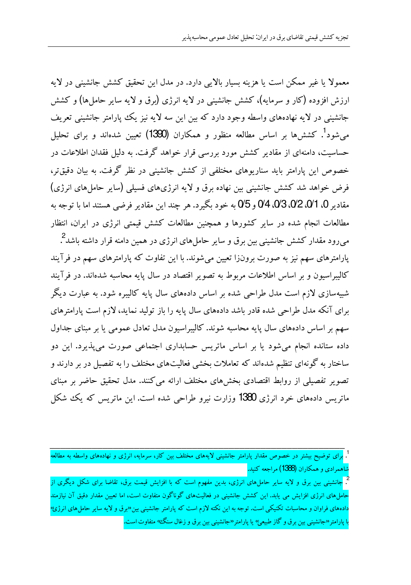معمولاً با غیر ممکن است با هزینه بسیار بالایی دارد. در مدل این تحقیق کشش جانشینی در لایه ارزش افزوده (کار و سرمایه)، کشش جانشینبی در لایه انرژی (برق و لایه سایر حاملها) و کشش جانشینی در لایه نهادههای واسطه وجود دارد که بین این سه لایه نیز یک ییارامتر جانشینی تعریف می شود<sup>1</sup>. کشش ها بر اساس مطالعه منظور و همکاران (1390) تعیین شدهاند و برای تحلیل حساسیت، دامنهای از مقادیر کشش مورد بررسی قرار خواهد گرفت. به دلیل فقدان اطلاعات در خصوص این پارامتر باید سناریوهای مختلفی از کشش جانشینی در نظر گرفت. به بیان دقیقتر، فرض خواهد شد کشش جانشینی بین نهاده برق و لایه انرژیهای فسیلی (سایر حاملهای انرژی) مقادير 0، 0/1، 0/2، 0/3، 0/4 و 0/5 به خود بگيرد. هر چند اين مقادير فرضي هستند اما با توجه به مطالعات انجام شده در سایر کشورها و همچنین مطالعات کشش قیمتی انرژی در ایران، انتظار میرود مقدار کشش جانشینی بین برق و سایر حاملهای انرژی در همین دامنه قرار داشته باشد<sup>2</sup>. پارامترهای سهم نیز به صورت برونزا تعیین میشوند. با این تفاوت که پارامترهای سهم در فرآیند کالیبراسیون و بر اساس اطلاعات مربوط به تصویر اقتصاد در سال پایه محاسبه شدهاند. در فرآیند شبیهسازی لازم است مدل طراحی شده بر اساس دادههای سال پایه کالیبره شود. به عبارت دیگر برای آنکه مدل طراحی شده قادر باشد دادههای سال پایه را باز تولید نماید، لازم است پارامترهای سهم بر اساس دادههای سال پایه محاسبه شوند. کالیبراسیون مدل تعادل عمومی یا بر مبنای جداول داده ستانده انجام میشود یا بر اساس ماتریس حسابداری اجتماعی صورت میپذیرد. این دو ساختار به گونهای تنظیم شدهاند که تعاملات بخشی فعالیتهای مختلف را به تفصیل در بر دارند و تصویر تفصیلی از روابط اقتصادی بخشهای مختلف ارائه می کنند. مدل تحقیق حاضر بر مبنای ماتریس دادههای خرد انرژی 1380 وزارت نیرو طراحی شده است. این ماتریس که یک شکل

<sup>تم</sup> جانشینی بین برق و لایه سایر حاملهای انرژی، بدین مفهوم است که با افزایش قیمت برق، تقاضا برای شکل دیگری از حاملهای انرژی افزایش می یابد. این کشش جانشینی در فعالیتهای گوناگون متفاوت است، اما تعیین مقدار دقیق آن نیازمند دادههای فراوان و محاسبات تکنیکی است. توجه به این نکته لازم است که پارامتر جانشینی بین«برق و لایه سایر حامل های انرژئ› ا پارامتر«جانشینی بین برق و گاز طبیعی› یا پارامتر«جانشینی بین برق و زغال سنگ، متفاوت است.

<sup>.</sup> ب<mark>رای توضیح بیشتر در خصوص مقدار پارامتر جانشینی لایههای مختلف بین کار، سرمایه، انرژی و نهادههای واسطه به مطالعه</mark> شاهمرادي و همكاران (1<del>388</del>) مراجعه كنيد.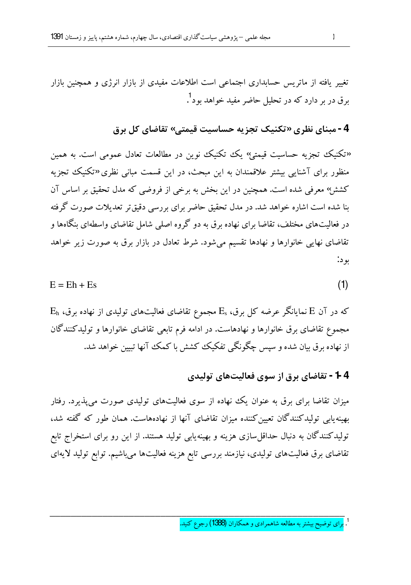تغییر یافته از ماتریس حسابداری اجتماعی است اطلاعات مفیدی از بازار انرژی و همچنین بازار برق در بر دارد که در تحلیل حاضر مفید خواهد <sub>تو د</sub><sup>1</sup>.

4 -مبنای نظری «تکنیک تجزیه حساسیت قیمتی» تقاضای کل برق

«تکنیک تجزیه حساسیت قیمتم» یک تکنیک نوین در مطالعات تعادل عمومی است. به همین منظور برای آشنایی بیشتر علاقمندان به این مبحث، در این قسمت مبانی نظری «تکنیک تجزیه کششر؛ معرفی شده است. همچنین در این بخش به برخی از فروضی که مدل تحقیق بر اساس آن بنا شده است اشاره خواهد شد. در مدل تحقیق حاضر برای بررسی دقیق تر تعدیلات صورت گرفته در فعالیتهای مختلف، تقاضا برای نهاده برق به دو گروه اصلی شامل تقاضای واسطهای بنگاهها و تقاضای نهایی خانوارها و نهادها تقسیم می شود. شرط تعادل در بازار برق به صورت زیر خواهد بو د:

$$
E = Eh + Es
$$
 (1)

 $\rm E_{h}$  که در آن  $\rm E$  نمایانگر عرضه کل برق،  $\rm E_{s}$  مجموع تقاضای فعالیتهای تولیدی از نهاده برق، مجموع تقاضای برق خانوارها و نهادهاست. در ادامه فرم تابعی تقاضای خانوارها و تولیدکنندگان از نهاده برق بیان شده و سیس چگونگی تفکیک کشش با کمک آنها تبیین خواهد شد.

# **1 4 -** تقاضای برق از سوی فعالیتهای تولیدی

میزان تقاضا برای برق به عنوان یک نهاده از سوی فعالیتهای تولیدی صورت می پذیرد. رفتار بهینه پایی تولیدکنندگان تعیین کننده میزان تقاضای آنها از نهادههاست. همان طور که گفته شد، تولیدکنندگان به دنبال حداقل سازی هزینه و بهینهیابی تولید هستند. از این رو برای استخراج تابع تقاضای برق فعالیتهای تولیدی، نیازمند بررسی تابع هزینه فعالیتها میباشیم. توابع تولید لایهای

<sup>&</sup>lt;sup>1</sup>. برای توضیح بیشتر به مطالعه شاهمرادی و همکاران (1388) رجوع کنید.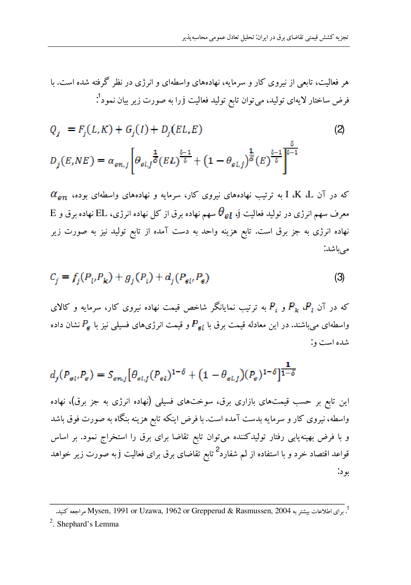$$
Q_{j} = F_{j}(L,K) + G_{j}(I) + D_{j}(EL,E)
$$
\n
$$
D_{j}(E,NE) = \alpha_{en,j} \left[ \theta_{el,j} \frac{1}{\delta} (EL)^{\frac{\delta-1}{\delta}} + (1 - \theta_{el,j})^{\frac{1}{\delta}} (E)^{\frac{\delta-1}{\delta}} \right]^{\frac{\delta}{\delta-1}}
$$
\n(2)

 $\alpha_{en}$  که در آن K، ترتیب نهادههای نیروی کار، سرمایه و نهادههای واسطهای بوده،  $\alpha_{sn}$  $\rm\,E$  معرف سهم انرژی در تولید فعالیت j،  $\rm\, \theta_{\rm\,}$  سهم نهاده برق از کل نهاده انرژی، EL نهاده برق و  $\rm E$ نهاده انرژی به جز برق است. تابع هزینه واحد به دست آمده از تابع تولید نیز به صورت زیر مے باشد:

$$
C_j = f_j(P_i, P_k) + g_j(P_i) + d_j(P_{gl}, P_s)
$$
\n(3)

که در آن  $P_k$  و  $P_i$  به ترتیب نمایانگر شاخص قیمت نهاده نیروی کار، سرمایه و کالای واسطهای میباشند. در این معادله قیمت برق با  $P_{sl}$  و قیمت انرژیهای فسیلی نیز با  $P_s$ نشان داده شده است و:

$$
d_j(P_{\rm sl}, P_{\rm s}) = S_{\rm sn,j} \left[ \theta_{\rm sl,j}(P_{\rm sl})^{1-\delta} + (1 - \theta_{\rm sl,j})(P_{\rm s})^{1-\delta} \right]^{\frac{1}{1-\delta}}
$$

این تابع بر حسب قیمتهای بازاری برق، سوختهای فسیلی (نهاده انرژی به جز برق)، نهاده واسطه، نیروی کار و سرمایه بدست آمده است. با فرض اینکه تابع هزینه بنگاه به صورت فوق باشد و با فرض بهینه یابی رفتار تولیدکننده میتوان تابع تقاضا برای برق را استخراج نمود. بر اساس قواعد اقتصاد خرد و با استفاده از لم شفارد<sup>2</sup> تابع تقاضای برق برای فعالیت j به صورت زیر خواهد بو د:

<sup>.&</sup>lt;br>1. براى اطلاعات بيشتر به Mysen, 1991 or Uzawa, 1962 or Grepperud & Rasmussen, 2004 مراجعه كنيد.

<sup>&</sup>lt;sup>2</sup>. Shephard's Lemma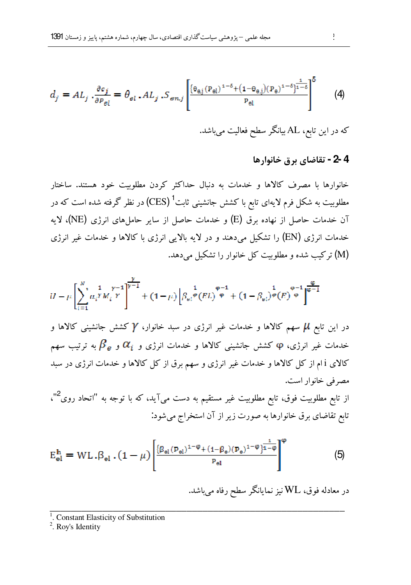$$
d_j = AL_j \cdot \frac{\partial c_j}{\partial P_{\theta l}} = \theta_{\theta l} \cdot AL_j \cdot S_{\theta n,j} \left[ \frac{\left(\theta_{\theta,j} (P_{\theta l})^{1-\delta} + (1-\theta_{\theta,j}) (P_{\theta})^{1-\delta}\right)^{\frac{1}{1-\delta}}}{P_{\theta l}} \right]^5 \tag{4}
$$

- که در این تابع، AL بیانگر سطح فعالیت می باشد.
	- 4 -2 تقاضاي برق خانوارها

خانوارها با مصرف كالاها و خدمات به دنبال حداكثر كردن مطلوبيت خود هستند. ساختار مطلوبیت به شکل فرم لایهای تابع با کشش جانشینی ثابت<sup>1</sup> (CES) در نظر گرفته شده است که در آن خدمات حاصل از نهاده برق (E) و خدمات حاصل از سایر حاملهای انرژی (NE)، لایه خدمات انرژی (EN) را تشکیل می،دهند و در لایه بالایی انرژی با کالاها و خدمات غیر انرژی (M) ترکیب شده و مطلوبیت کل خانوار را تشکیل می دهد.

$$
U - \mu \left[ \sum_{i=1}^{N} \alpha_i^T M_i^T \right]^{\frac{\gamma}{\gamma - 1}} + (1 - \mu) \left[ \beta_{\mathfrak{s}i} \mathfrak{e}(EL) \right]^{\varphi - 1} + (1 - \beta_{\mathfrak{s}i})^{\varphi} (E) \mathfrak{e}^{-1} \right]^{\frac{\varphi}{\varphi - 1}}
$$

در این تابع  $\mu$  سهم کالاها و خدمات غیر انرژی در سبد خانوار،  $\gamma$  کشش جانشینی کالاها و خدمات غیر انرژی، φ کشش جانشینی کالاها و خدمات انرژی و  $\alpha_i$  و  $\beta_e$  به ترتیب سهم کالای i ام از کل کالاها و خدمات غیر انرژی و سهم برق از کل کالاها و خدمات انرژی در سبد مصرفی خانوار است.

از تابع مطلوبیت فوق، تابع مطلوبیت غیر مستقیم به دست میآید، که با توجه به "اتحاد روی<sup>2</sup>"، تابع تقاضای برق خانوارها به صورت زیر از آن استخراج میشود:

$$
E_{el}^{h} = WL \cdot \beta_{el} \cdot (1 - \mu) \left[ \frac{\{\beta_{el}(P_{el})^{1 - \phi} + (1 - \beta_{e})(P_{e})^{1 - \phi}\}^{\frac{1}{n - \phi}}}{P_{el}} \right]^{\phi} \tag{5}
$$

در معادله فوق، WL نیز نمایانگر سطح رفاه میباشد.

 $\frac{1}{1}$ . Constant Elasticity of Substitution

 $2$ . Roy's Identity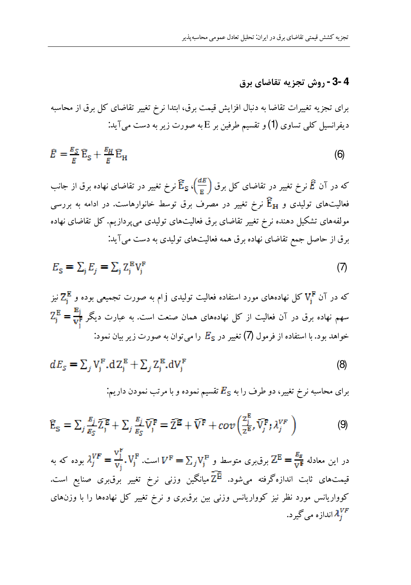# 4 -3 - روش تجزيه تقاضاي برق

برای تجزیه تغییرات تقاضا به دنبال افزایش قیمت برق، ابتدا نرخ تغییر تقاضای کل برق از محاسبه دیفرانسیل کلی تساوی (1) و تقسیم طرفین بر E به صورت زیر به دست می آید:

$$
\hat{E} = \frac{E_S}{E} E_S + \frac{E_H}{E} E_H \tag{6}
$$

که در آن  $\hat{E}$  نرخ تغییر در تقاضای کل برق  $\widehat{\text{E}}_{\texttt{s}}$  نرخ تغییر در تقاضای نهاده برق از جانب فعالیتهای تولیدی و  $\widehat{\textbf{E}}_{\textbf{H}}$  نرخ تغییر در مصرف برق توسط خانوارهاست. در ادامه به بررسی مولفههای تشکیل دهنده نرخ تغییر تقاضای برق فعالیتهای تولیدی میپردازیم. کل تقاضای نهاده برق از حاصل جمع تقاضاي نهاده برق همه فعاليتهاي توليدي به دست مي آيد.

$$
E_{\rm s} = \sum_{\rm j} E_{\rm j} = \sum_{\rm j} Z_{\rm j}^{\rm E} V_{\rm j}^{\rm F} \tag{7}
$$

که در آن 
$$
V_j^F
$$
 کل نهادههای مورد استفاده فعالیت تولیدی زام به صورت تجموعی بوده و  $Z_j^E = \frac{\mathbf{E}_j}{\mathbf{v}_j^F} = \frac{\mathbf{E}_j}{\mathbf{v}_j^F} = \frac{\mathbf{E}_j}{\mathbf{v}_j^F}$ سهم نهاده برق در آن فعالیت از کل نهادههای همان صنعت است. به عبارت دیگر  $\frac{\mathbf{E}_j}{\mathbf{v}_j^F} = \frac{\mathbf{E}_j}{\mathbf{v}_j^F}$ 

$$
dE_s = \sum_j V_j^{\mathrm{F}} \cdot dZ_j^{\mathrm{E}} + \sum_j Z_j^{\mathrm{E}} \cdot dV_j^{\mathrm{F}} \tag{8}
$$

برای محاسبه نرخ تغییر، دو طرف را به 
$$
E_{\rm S}
$$
 تقسیم نموده و با مرتب نمودن داریم:

$$
\widehat{\mathbf{E}}_{\mathbf{S}} = \sum_{j} \frac{\mathbf{E}_{j}}{\mathbf{E}_{\mathbf{S}}} \widehat{\mathbf{Z}}_{j}^{\mathbf{E}} + \sum_{j} \frac{\mathbf{E}_{j}}{\mathbf{E}_{\mathbf{S}}} \widehat{\mathbf{V}}_{j}^{\mathbf{F}} = \widehat{\mathbf{Z}}^{\mathbf{E}} + \widehat{\mathbf{V}}^{\mathbf{F}} + cov \left( \frac{\mathbf{Z}_{j}^{\mathbf{E}}}{z^{\mathbf{E}}}, \widehat{\mathbf{V}}_{j}^{\mathbf{F}} \mathbf{A}_{j}^{VF} \right)
$$
(9)

در این معادله  $\lambda_j^{VF}=\frac{V_j^F}{V_i}$  برق $V_j^F=\sum_j V_j^F=\sum_j V_j^F$  است.  $\lambda_j^{VF}=\frac{V_j^F}{V_i}=\lambda_j^{F}$  بوده که به قیمتهای ثابت اندازهگرفته میشود.  $\widetilde{\mathrm{Z}^{\mathrm{E}}}$ میانگین وزنی نرخ تغییر برق $\mu$ ی صنایع است. کوواریانس مورد نظر نیز کوواریانس وزنی بین برق بری و نرخ تغییر کل نهادهها را با وزنهای انداز ه می گیر د.  $\mathcal{X}^{VF}_i$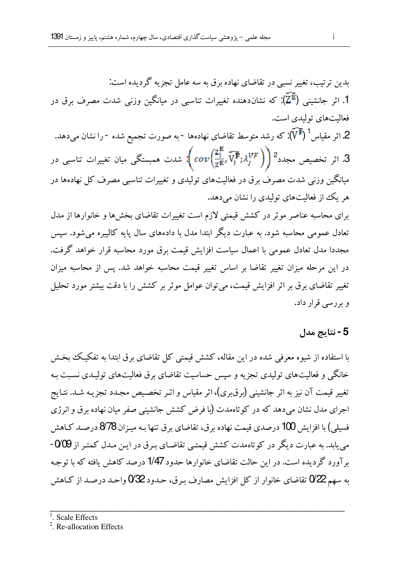بدین ترتیب، تغییر نسبی در تقاضای نهاده برق به سه عامل تجزیه گردیده است. 1. اثر جانشینی  $(\bar{\mathrm{Z}^{\mathrm{E}}})$ : که نشان<code>ca</code>شده تغییرات تناسبی در میانگین وزنی شدت مصرف برق در فعاليتهاي توليدي است. 2. اثر مقیاس<sup>1</sup> (V<sup>F</sup>): که رشد متوسط تقاضای نهادهها -به صورت تجمیع شده -را نشان میدهد. 3. اثر تخصیص مجدد $\left(\sqrt{\frac{z_{\rm j}}{z^{\rm E}}},\widehat{V_{\rm j}^{\rm F}}; \lambda_j^{VF}\right)\bigg)^2$ شدت همبستگی میان تغییرات تناسبی در میانگین وزنی شدت مصرف برق در فعالیتهای تولیدی و تغییرات تناسبی مصرف کل نهادهها در هر یک از فعالیتهای تولیدی را نشان میدهد. برای محاسبه عناصر موثر در کشش قیمتی لازم است تغییرات تقاضای بخش ها و خانوارها از مدل تعادل عمومی محاسبه شود. به عبارت دیگر ابتدا مدل با دادههای سال پایه کالیبره می شود. سیس مجددا مدل تعادل عمومی با اعمال سیاست افزایش قیمت برق مورد محاسبه قرار خواهد گرفت. در این مرحله میزان تغییر تقاضا بر اساس تغییر قیمت محاسبه خواهد شد. پس از محاسبه میزان تغییر تقاضای برق بر اثر افزایش قیمت، می توان عوامل موثر بر کشش را با دقت بیشتر مورد تحلیل و بررسی قرار داد.

# 5 - نتاىج مدل

با استفاده از شیوه معرفی شده در این مقاله، کشش قیمتی کل تقاضای برق ابتدا به تفکیک بخش خانگی و فعالیتهای تولیدی تجزیه و سپس حساسیت تقاضای برق فعالیتهای تولیـدی نسـبت بـه تغییر قیمت آن نیز به اثر جانشینی (برق بری)، اثر مقیاس و اثـر تخصـیص مجـدد تجزیـه شـد. نتـایج اجرای مدل نشان می دهد که در کو تاهمدت (با فرض کشش جانشینی صفر میان نهاده برق و انرژی فسیلی) با افزایش 100 درصدی قیمت نهاده برق، تقاضای برق تنها بـه میـزان 878 درصـد کـاهش می یابد. به عبارت دیگر در کوتاهمدت کشش قیمتبی تقاضـای بـرق در ایـن مـدل کمتـر از 0⁄09 -بر آورد گردیده است. در این حالت تقاضای خانوارها حدود 1/47 درصد کاهش یافته که با توجیه به سهم 22 $0$  تقاضای خانوار از کل افزایش مصارف بـرق، حـدود 22 $0$ واحـد درصـد از کـاهش

 $<sup>1</sup>$  Scale Effects</sup>

<sup>2</sup>. Re-allocation Effects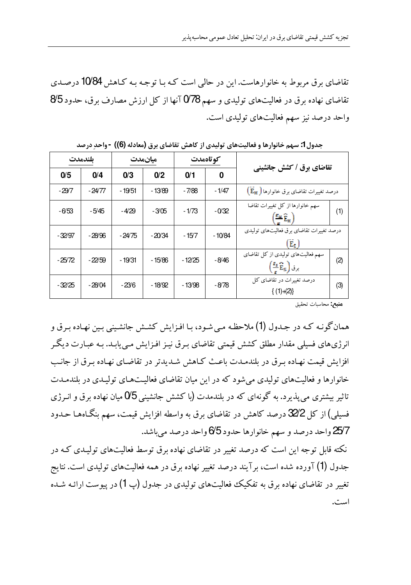تقاضای برق مربوط به خانوارهاست. این در حالی است کـه بـا توجـه بـه کـاهش 10⁄84 درصـدی تقاضای نهاده برق در فعالیتهای تولیدی و سهم 078 آنها از کل ارزش مصارف برق، حدود 8⁄5 واحد درصد نیز سهم فعالیتهای تولیدی است.

|                                                                                                                              | كو تاەمدت |          | ميانمدت  |         | ىلندمدت  |          |
|------------------------------------------------------------------------------------------------------------------------------|-----------|----------|----------|---------|----------|----------|
| تقاضای برق / کشش جانشینی                                                                                                     | 0         | 0/1      | 0/2      | 0/3     | 0/4      | 0/5      |
| درصد تغییرات تقاضای برق خانوارها ( E <sub>H</sub> )                                                                          | - 1/47    | - 7/88   | - 13/89  | - 19/51 | - 24/77  | -29/7    |
| سهم خانوارها از كل تغييرات تقاضا<br>(1)<br>$\left(\frac{\mathbf{F}_{H}}{\mathbf{\hat{E}}_{H}}\right)$                        | $-0/32$   | $-1/73$  | $-3/05$  | -4/29   | -5/45    | -6/53    |
| درصد تغییرات تقاضای بر ق فعالیتهای تولیدی<br>E.                                                                              | $-10/84$  | - 15/7   | $-20/34$ | $-2475$ | $-28/96$ | $-32/97$ |
| سهم فعالیتهای تولیدی از کل تقاضای<br>(2)<br>$\left(\frac{\mathbf{r}_{\mathrm{s}}}{\mathbf{\hat{E}}}_{\mathrm{s}}\right)$ برق | -8/46     | $-12/25$ | - 15/86  | - 19/31 | $-22/59$ | $-25/72$ |
| درصد تغییرات در تقاضای کل<br>(3)<br>$\{(1)+(2)\}$                                                                            | -878      | - 13/98  | - 18/92  | -23/6   | $-28/04$ | -32/25   |

جدول 1: سهم خانوارها و فعالیتهای تولیدی از کاهش تقاضای برق (معادله (6)) -واحد درصد

ه**نبع:** محاسبات تحقیق

همان گونـه كـه در جـدول (1) ملاحظـه مـي شـود، بـا افـزايش كشـش جانشـيني بـين نهـاده بـرق و انرژیهای فسیلی مقدار مطلق کشش قیمتی تقاضای بـرق نیـز افـزایش مـی،پابـد. بـه عبـارت دیگـر افزایش قیمت نهاده بـرق در بلندمـدت باعـث كـاهش شـدیدتر در تقاضـای نهـاده بـرق از جانـب خانوارها و فعالیتهای تولیدی می شود که در این میان تقاضای فعالیتهای تولیدی در بلندمـدت تاثیر بیشتری می یذیرد. به گونهای که در بلندمدت (با کشش جانشینی 0⁄5 میان نهاده برق و انـرژی فسیلی) از کل 32⁄2 درصد کاهش در تقاضای برق به واسطه افزایش قیمت، سهم بنگـاههـا حـدود 25/7 واحد درصد و سهم خانوارها حدود 6⁄5 واحد درصد مىباشد.

نکته قابل توجه این است که درصد تغییر در تقاضای نهاده برق توسط فعالیتهای تولیـدی کـه در جدول (1) آورده شده است، برآیند درصد تغییر نهاده برق در همه فعالیتهای تولیدی است. نتایج تغییر در تقاضای نهاده برق به تفکیک فعالیتهای تولیدی در جدول (پ 1) در پیوست ارائـه شـده است.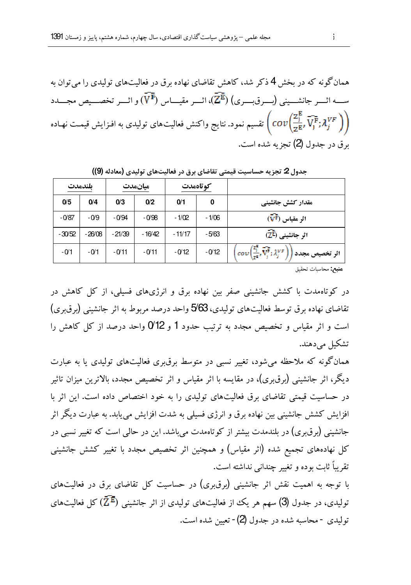همانگو نه که در بخش 4 ذکر شد، کاهش تقاضای نهاده برق در فعالیتهای تولیدی را میتوان به ســه اثـــر جانشـــيني (بـــرقبـــري) ( $\overline{\mathbb{Z}^{\mathbb{E}}}$ )، اثـــر مقيـــاس  $(\overline{V^{\mathbb{F}}})$ و اثـــر تخصـــيص مجـــدد تقسیم نمود. نتایج واکنش فعالیتهای تولیدی به افزایش قیمت نهـاده  $\Big( cov\Big(\frac{{\mathsf 2}^{\mathtt{g}}_j}{ {\mathsf z}^{\mathtt{F}}_r},\bar{\mathsf V}_j^{\mathtt{F}}; {\mathcal X}_j^{VF}\Big)\Big)$ ىر ق در جدول (2) تجزيه شده است.

| بلندمدت  |          | ميانمدت  |          | كو تاەمدت |         |                                                                                                                                |
|----------|----------|----------|----------|-----------|---------|--------------------------------------------------------------------------------------------------------------------------------|
| 0/5      | 0/4      | 0/3      | 0/2      | 0/1       | 0       | مقدار کشش جانشینی                                                                                                              |
| $-0/87$  | $-0/9$   | $-0/94$  | $-0/98$  | $-1/02$   | $-1/06$ | $(\widehat{\mathbf{V}^{\text{F}}})$ اثر مقیاس                                                                                  |
| $-30/52$ | $-26/08$ | $-21/39$ | $-16/42$ | $-11/17$  | $-5/63$ | $(\widehat{\mathbf{Z}^{\boldsymbol{\mathrm{E}}}})$ اثر جانشینی                                                                 |
| $-01$    | $-0/1$   | $-0/11$  | $-0/11$  | $-0/12$   | $-0/12$ | $\left(\text{cov}\left(\frac{z_1}{z^2}, \overrightarrow{V_i^*}; \lambda_i^{VP}\right)\right)$<br>اثر تخصیص مجدد <mark>ا</mark> |

جدول 2 تجزيه حساسيت قيمتي تقاضاي برق در فعاليتهاي توليدي (معادله (9))

**هنبع:** محاسبات تحقيق

در کوتاهمدت با کشش جانشینی صفر بین نهاده برق و انرژیهای فسیلی، از کل کاهش در تقاضای نهاده برق توسط فعالیتهای تولیدی، 5⁄63 واحد درصد مربوط به اثر جانشینی (برق بری) است و اثر مقیاس و تخصیص مجدد به ترتیب حدود 1 و 0⁄12 واحد درصد از کل کاهش را تشکیل مے دہند.

همانگونه که ملاحظه می شود، تغییر نسبی در متوسط برق بری فعالیتهای تولیدی یا به عبارت دیگر، اثر جانشینی (برق،بری)، در مقایسه با اثر مقیاس و اثر تخصیص مجدد، بالاترین میزان تاثیر در حساسیت قیمتی تقاضای برق فعالیتهای تولیدی را به خود اختصاص داده است. این اثر با افزایش کشش جانشینی بین نهاده برق و انرژی فسیلی به شدت افزایش می یابد. به عبارت دیگر اثر جانشینی (برق,ری) در بلندمدت بیشتر از کوتاهمدت می,باشد. این در حالبی است که تغییر نسبی در کل نهادههای تجمیع شده (اثر مقیاس) و همچنین اثر تخصیص مجدد با تغییر کشش جانشینی تقريباً ثابت بوده و تغيير چنداني نداشته است.

با توجه به اهمیت نقش اثر جانشینی (برق بری) در حساسیت کل تقاضای برق در فعالیتهای تولیدی، در جدول (3) سهم هر یک از فعالیتهای تولیدی از اثر جانشینی  $(\bar{\mathrm{Z}^\mathrm{E}})$  کل فعالیتهای توليدي - محاسبه شده در جدول (2) - تعيين شده است.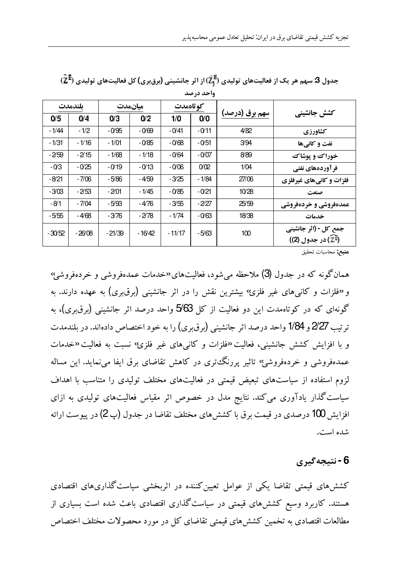| كوتاهمدت<br>ىلندمدت<br>ميانمدت<br>سهم برق (درصد)<br>کشش جانشینے ِ<br>0/0<br>0/5<br>0/4<br>0/2<br>0/3<br>1/0              |  |
|--------------------------------------------------------------------------------------------------------------------------|--|
|                                                                                                                          |  |
|                                                                                                                          |  |
| $-0/11$<br>$-1/44$<br>$-1/2$<br>4/82<br>$-0/95$<br>$-0/69$<br>$-0/41$<br>كشاورزي                                         |  |
| $-1/31$<br>$-1/16$<br>$-1/01$<br>$-0/85$<br>$-0/68$<br>$-0/51$<br>3/94<br>نفت و کانے ها                                  |  |
| $-2/59$<br>$-0/07$<br>8/89<br>$-2/15$<br>$-1/68$<br>- 1/18<br>-0/64<br>خوراك و يوشاك                                     |  |
| $-03$<br>0/02<br>1/04<br>$-0/25$<br>$-0/19$<br>$-0/13$<br>$-0/06$<br>فر آوردههای نفتی                                    |  |
| $-8/21$<br>27/06<br>$-7/06$<br>-4/59<br>-3/25<br>- 1/84<br>-5/86<br>فلزات و کانیهای غیرفلزی                              |  |
| $-3/03$<br>$-0/21$<br>$-2/01$<br>$-0/85$<br>10/28<br>-2/53<br>- 1/45<br>صنعت                                             |  |
| $-8/1$<br>$-4/76$<br>$-2/27$<br>$-7/04$<br>25/59<br>-5/93<br>-355<br>عمدهفروشي و خردهفروشي                               |  |
| 18/38<br>-5/55<br>$-4/68$<br>$-2/78$<br>$-1/74$<br>$-0/63$<br>-3/76<br>خدمات                                             |  |
| جمع کل - (اثر جانشینی<br>100<br>$-11/17$<br>$-5/63$<br>$-30/52$<br>$-26/08$<br>$-21/39$<br>$-16/42$<br>(2E) در جدول (2)) |  |

 $(\bar{\mathbf{Z}}^{\bar{\mathbf{E}}} )$ جدول 3 سهم هر یک از فعالیتهای تولیدی  $(\widehat{\mathcal{I}}^{\bar{\mathbf{E}}}_1)$ از اثر جانشینی (برق بری) کل فعالیتهای تولیدی  $\bar{\mathbf{Z}}$ واحد درصد

ه**نبع:** محاسبات تحقيق

همان گونه که در جدول (3) ملاحظه می شود، فعالیتهای«خدمات عمدهفروشی و خردهفروشی› و «فلزات و کانی های غیر فلزئ» بیشترین نقش را در اثر جانشینی (برق بری) به عهده دارند. به گونهای که در کوتاهمدت این دو فعالیت از کل 5⁄63 واحد درصد اثر جانشینی (برق $\zeta$ )، به ترتيب 2⁄27 و 1/84 واحد درصد اثر جانشيني (برق بري) را به خود اختصاص دادهاند. در پلندمدت و با افزایش کشش جانشینی، فعالیت «فلزات و کانی های غیر فلزئ» نسبت به فعالیت «خدمات عمدهفروشی و خردهفروشی؟ تاثیر پررنگ تری در کاهش تقاضای برق ایفا می نماید. این مساله لزوم استفاده از سیاستهای تبعیض قیمتی در فعالیتهای مختلف تولیدی را متناسب با اهداف سیاست گذار یادآوری می کند. نتایج مدل در خصوص اثر مقیاس فعالیتهای تولیدی به ازای افزایش 100 درصدی در قیمت برق با کششهای مختلف تقاضا در جدول (پ $(2$ ) در پیوست ارائه شده است.

### 6 - نتىجەگىرى

کشش های قیمتی تقاضا یکی از عوامل تعیین کننده در اثربخشی سیاست گذاریهای اقتصادی هستند. کاربرد وسیع کششهای قیمتی در سیاستگذاری اقتصادی باعث شده است بسیاری از مطالعات اقتصادی به تخمین کشش های قیمتی تقاضای کل در مورد محصولات مختلف اختصاص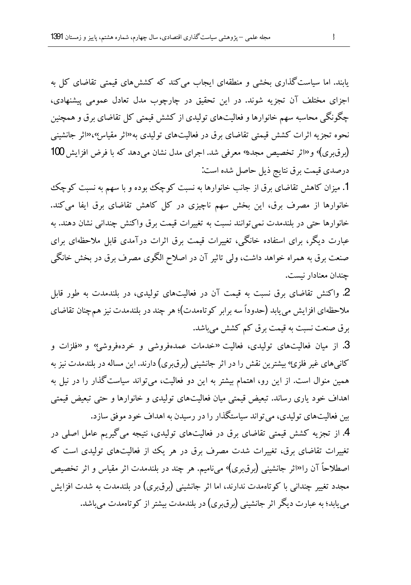یابند. اما سیاست گذاری بخشی و منطقهای ایجاب می کند که کشش های قیمتی تقاضای کل به اجزای مختلف آن تجزیه شوند. در این تحقیق در چارچوب مدل تعادل عمومی پیشنهادی، چگونگی محاسبه سهم خانوارها و فعالیتهای تولیدی از کشش قیمتی کل تقاضای برق و همچنین نحوه تجزیه اثرات کشش قیمتی تقاضای برق در فعالیتهای تولیدی به<sup>رد</sup>اثر مقیاس»،«اثر جانشینی (برق بری)› و «اثر تخصیص مجده› معرفی شد. اجرای مدل نشان می دهد که با فرض افزایش 100 درصدي قيمت برق نتايج ذيل حاصل شده است:

1. میزان کاهش تقاضای برق از جانب خانوارها به نسبت کوچک بوده و با سهم به نسبت کوچک خانوارها از مصرف برق، این بخش سهم ناچیزی در کل کاهش تقاضای برق ایفا میکند. خانوارها حتى در بلندمدت نمى توانند نسبت به تغييرات قيمت برق واكنش چندانى نشان دهند. به عبارت دیگر، برای استفاده خانگی، تغییرات قیمت برق اثرات درآمدی قابل ملاحظهای برای صنعت برق به همراه خواهد داشت، ولي تاثير آن در اصلاح الگوى مصرف برق در بخش خانگى چندان معنادار نست.

2. واکنش تقاضای برق نسبت به قیمت آن در فعالیتهای تولیدی، در بلندمدت به طور قابل ملاحظهای افزایش می یابد (حدوداً سه برابر کوتاهمدت)؛ هر چند در بلندمدت نیز همچنان تقاضای برق صنعت نسبت به قیمت برق کم کشش می باشد.

3. از میان فعالیتهای تولیدی، فعالیت «خدمات عمدهفروشی و خردهفروشهِ» و «فلزات و کانیهای غیر فلزی٬ بیشترین نقش را در اثر جانشینی (برقبری) دارند. این مساله در بلندمدت نیز به همین منوال است. از این رو، اهتمام بیشتر به این دو فعالیت، میتواند سیاست گذار را در نیل به اهداف خود یاری رساند. تبعیض قیمتی میان فعالیتهای تولیدی و خانوارها و حتی تبعیض قیمتی بین فعالیتهای تولیدی، می تواند سیاستگذار را در رسیدن به اهداف خود موفق سازد.

4. از تجزیه کشش قیمتی تقاضای برق در فعالیتهای تولیدی، نتیجه می گیریم عامل اصلی در تغییرات تقاضای برق، تغییرات شدت مصرف برق در هر یک از فعالیتهای تولیدی است که اصطلاحاً آن را«اثر جانشینی (برق,بری)<sup>)</sup> میiامیم. هر چند در بلندمدت اثر مقیاس و اثر تخصیص مجدد تغییر چندانی با کوتاهمدت ندارند، اما اثر جانشینی (برق بری) در بلندمدت به شدت افزایش می یابد؛ به عبارت دیگر اثر جانشینی (برق بری) در بلندمدت بیشتر از کو تاهمدت می باشد.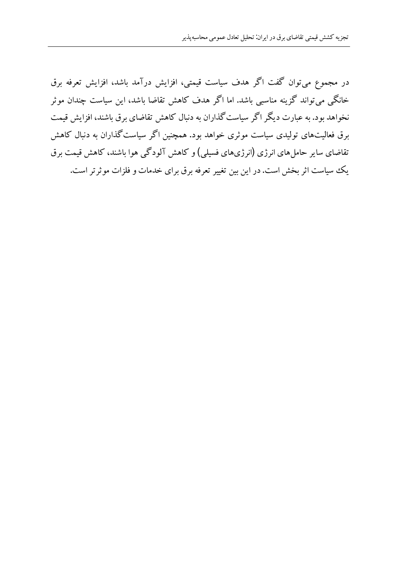در مجموع می توان گفت اگر هدف سیاست قیمتی، افزایش درآمد باشد، افزایش تعرفه برق خانگی میتواند گزینه مناسبی باشد. اما اگر هدف کاهش تقاضا باشد، این سیاست چندان موثر نخواهد بود. به عبارت دیگر اگر سیاست گذاران به دنبال کاهش تقاضای برق باشند، افزایش قیمت برق فعالیتهای تولیدی سیاست موثری خواهد بود. همچنین اگر سیاست گذاران به دنبال کاهش تقاضای سایر حامل های انرژی (انرژیهای فسیلی) و کاهش آلودگی هوا باشند، کاهش قیمت برق یک سیاست اثر بخش است. در این بین تغییر تعرفه برق برای خدمات و فلزات موثرتر است.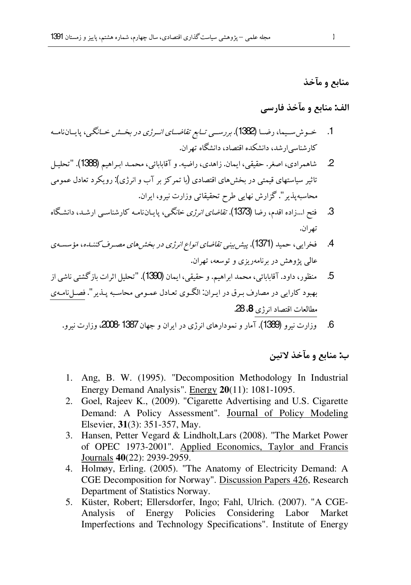# منابع و مآخذ

# الف: منابع و مآخذ فارسي

- 1. خىوش سىيما، رضـا (1382). بررســي تـابع تقاضــاي انــرژى در بخــش خــانگـى، پايــان نامــه کارشناسه ارشد، دانشکده اقتصاد، دانشگاه تھ ان.
- شاهمرادي، اصغر. حقيقي، ايمان. زاهدي، راضيه. و آقابابائي، محمـد ابـراهيم (1388). "تحليـل  $\overline{2}$ تاثیر سیاستهای قیمتی در بخشهای اقتصادی (با تمرکز بر آب و انرژی): رویکرد تعادل عمومی محاسبه پذیر". گزارش نهایی طرح تحقیقاتی وزارت نیرو، ایران.
- فتح ا…زاده اقدم، رضا (1373). *تقاضای انرژی خانگی*، پایـانiامـه کارشناسـی ارشـد، دانشـگاه .3 تھ ان۔
- فخرایی، حمید (1371). پیش بینی تفاضای انواع انرژی در بخش های مصبرف کننیده، مؤسسه ی  $\mathcal{A}$ عالي پژوهش در برنامهريزي و توسعه، تهران.
- منظور، داود. آقابابائی، محمد ابراهیم. و حقیقی، ایمان (1390). "تحلیل اثرات بازگشتی ناشی از .5 بهبود کارایی در مصارف برق در ایران: الگوی تعادل عمومی محاسبه پـذیر". فصـلiامـهی مطالعات اقتصاد انرژى 8، 28.
	- وزارت نیرو (1389). آمار و نمودارهای انرژی در ایران و جهان 1387 2008، وزارت نیرو. - 6

#### ب: منابع و مآخذ لاتبن

- 1. Ang, B. W. (1995). "Decomposition Methodology In Industrial Energy Demand Analysis". Energy 20(11): 1081-1095.
- 2. Goel, Rajeev K., (2009). "Cigarette Advertising and U.S. Cigarette Demand: A Policy Assessment". Journal of Policy Modeling Elsevier, 31(3): 351-357, May.
- 3. Hansen, Petter Vegard & Lindholt, Lars (2008). "The Market Power of OPEC 1973-2001". Applied Economics, Taylor and Francis Journals 40(22): 2939-2959.
- 4. Holmøy, Erling. (2005). "The Anatomy of Electricity Demand: A CGE Decomposition for Norway". Discussion Papers 426, Research Department of Statistics Norway.
- 5. Küster, Robert; Ellersdorfer, Ingo; Fahl, Ulrich. (2007). "A CGE-Analysis of Energy Policies Considering Labor Market Imperfections and Technology Specifications". Institute of Energy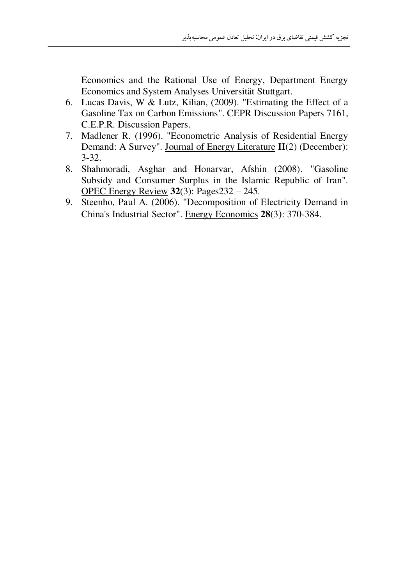Economics and the Rational Use of Energy, Department Energy Economics and System Analyses Universität Stuttgart.

- 6. Lucas Davis, W & Lutz, Kilian, (2009). "Estimating the Effect of a Gasoline Tax on Carbon Emissions". CEPR Discussion Papers 7161, C.E.P.R. Discussion Papers.
- 7. Madlener R. (1996). "Econometric Analysis of Residential Energy Demand: A Survey". Journal of Energy Literature II(2) (December):  $3 - 32.$
- 8. Shahmoradi, Asghar and Honarvar, Afshin (2008). "Gasoline Subsidy and Consumer Surplus in the Islamic Republic of Iran". OPEC Energy Review  $32(3)$ : Pages 232 – 245.
- 9. Steenho, Paul A. (2006). "Decomposition of Electricity Demand in China's Industrial Sector". Energy Economics 28(3): 370-384.